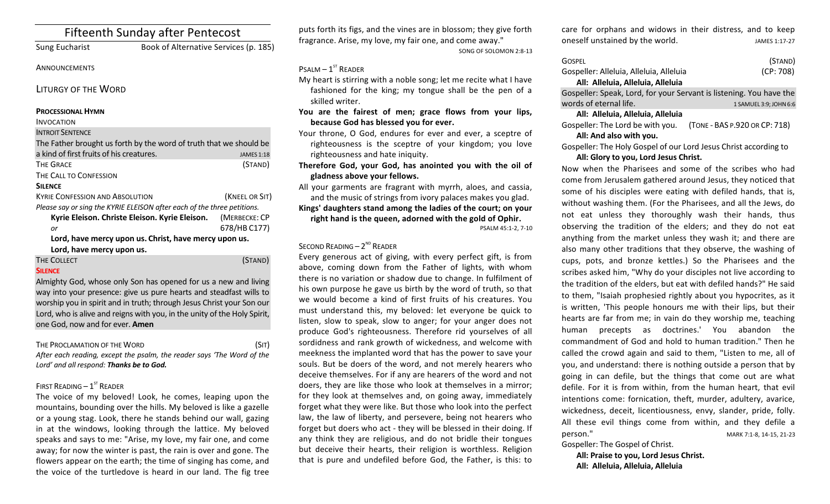# Fifteenth Sunday after Pentecost

Sung Eucharist Book of Alternative Services (p. 185)

#### **ANNOUNCEMENTS**

LITURGY OF THE WORD

#### **PROCESSIONAL HYMN**

INVOCATION

#### **INTROIT SENTENCE**

| The Father brought us forth by the word of truth that we should be      |                   |
|-------------------------------------------------------------------------|-------------------|
| a kind of first fruits of his creatures.                                | <b>JAMES 1:18</b> |
| <b>THE GRACE</b>                                                        | (STAND)           |
| THE CALL TO CONFESSION                                                  |                   |
| <b>SILENCE</b>                                                          |                   |
| <b>KYRIE CONFESSION AND ABSOLUTION</b>                                  | (KNEEL OR SIT)    |
| Please say or sing the KYRIE ELEISON after each of the three petitions. |                   |
| Kyrie Eleison. Christe Eleison. Kyrie Eleison.                          | (MERBECKE: CP     |
| or                                                                      | 678/HB C177)      |
| Lord, have mercy upon us. Christ, have mercy upon us.                   |                   |
| Lord, have mercy upon us.                                               |                   |

| THE COLLECT    | (STAND) |
|----------------|---------|
| <b>SILENCE</b> |         |

Almighty God, whose only Son has opened for us a new and living way into your presence: give us pure hearts and steadfast wills to worship you in spirit and in truth; through Jesus Christ your Son our Lord, who is alive and reigns with you, in the unity of the Holy Spirit, one God, now and for ever. **Amen** 

#### THE PROCLAMATION OF THE WORD (SIT)

After each reading, except the psalm, the reader says 'The Word of the Lord' and all respond: Thanks be to God.

### FIRST READING  $-1^\text{ST}$  READER

The voice of my beloved! Look, he comes, leaping upon the mountains, bounding over the hills. My beloved is like a gazelle or a young stag. Look, there he stands behind our wall, gazing in at the windows, looking through the lattice. My beloved speaks and says to me: "Arise, my love, my fair one, and come away; for now the winter is past, the rain is over and gone. The flowers appear on the earth; the time of singing has come, and the voice of the turtledove is heard in our land. The fig tree

puts forth its figs, and the vines are in blossom; they give forth fragrance. Arise, my love, my fair one, and come away."

SONG OF SOLOMON 2:8-13

### $P$ SALM  $-1$ <sup>ST</sup> READER

- My heart is stirring with a noble song; let me recite what I have fashioned for the king; my tongue shall be the pen of a skilled writer.
- You are the fairest of men; grace flows from your lips, because God has blessed you for ever.
- Your throne, O God, endures for ever and ever, a sceptre of righteousness is the sceptre of your kingdom; you love righteousness and hate iniquity.
- Therefore God, your God, has anointed you with the oil of **gladness above your fellows.**
- All your garments are fragrant with myrrh, aloes, and cassia, and the music of strings from ivory palaces makes you glad.

Kings' daughters stand among the ladies of the court; on your right hand is the queen, adorned with the gold of Ophir.

PSALM 45:1-2, 7-10

#### SECOND READING  $- 2^{ND}$  READER

Every generous act of giving, with every perfect gift, is from above, coming down from the Father of lights, with whom there is no variation or shadow due to change. In fulfilment of his own purpose he gave us birth by the word of truth, so that we would become a kind of first fruits of his creatures. You must understand this, my beloved: let everyone be quick to listen, slow to speak, slow to anger; for your anger does not produce God's righteousness. Therefore rid yourselves of all sordidness and rank growth of wickedness, and welcome with meekness the implanted word that has the power to save your souls. But be doers of the word, and not merely hearers who deceive themselves. For if any are hearers of the word and not doers, they are like those who look at themselves in a mirror; for they look at themselves and, on going away, immediately forget what they were like. But those who look into the perfect law, the law of liberty, and persevere, being not hearers who forget but doers who act - they will be blessed in their doing. If any think they are religious, and do not bridle their tongues but deceive their hearts, their religion is worthless. Religion that is pure and undefiled before God, the Father, is this: to

|  |                                 |  |  | care for orphans and widows in their distress, and to keep |  |               |
|--|---------------------------------|--|--|------------------------------------------------------------|--|---------------|
|  | oneself unstained by the world. |  |  |                                                            |  | JAMES 1:17-27 |

| GOSPEL                                                              | (STAND)   |
|---------------------------------------------------------------------|-----------|
| Gospeller: Alleluia, Alleluia, Alleluia                             | (CP: 708) |
| All: Alleluia, Alleluia, Alleluia                                   |           |
| Gospeller: Speak, Lord, for your Servant is listening. You have the |           |

WOrds of eternal life. **15 AMUEL 3:9**; JOHN 6:6 **All: Alleluia, Alleluia, Alleluia**

Gospeller: The Lord be with you. (TONE - BAS P.920 OR CP: 718) All: And also with you.

Gospeller: The Holy Gospel of our Lord Jesus Christ according to All: Glory to you, Lord Jesus Christ.

Now when the Pharisees and some of the scribes who had come from Jerusalem gathered around Jesus, they noticed that some of his disciples were eating with defiled hands, that is, without washing them. (For the Pharisees, and all the Jews, do not eat unless they thoroughly wash their hands, thus observing the tradition of the elders; and they do not eat anything from the market unless they wash it; and there are also many other traditions that they observe, the washing of cups, pots, and bronze kettles.) So the Pharisees and the scribes asked him, "Why do your disciples not live according to the tradition of the elders, but eat with defiled hands?" He said to them, "Isaiah prophesied rightly about you hypocrites, as it is written, 'This people honours me with their lips, but their hearts are far from me; in vain do they worship me, teaching human precepts as doctrines.' You abandon the commandment of God and hold to human tradition." Then he called the crowd again and said to them, "Listen to me, all of you, and understand: there is nothing outside a person that by going in can defile, but the things that come out are what defile. For it is from within, from the human heart, that evil intentions come: fornication, theft, murder, adultery, avarice, wickedness, deceit, licentiousness, envy, slander, pride, folly. All these evil things come from within, and they defile a **person."** MARK 7:1-8, 14-15, 21-23

Gospeller: The Gospel of Christ.

All: Praise to you, Lord Jesus Christ. **All: Alleluia, Alleluia, Alleluia**